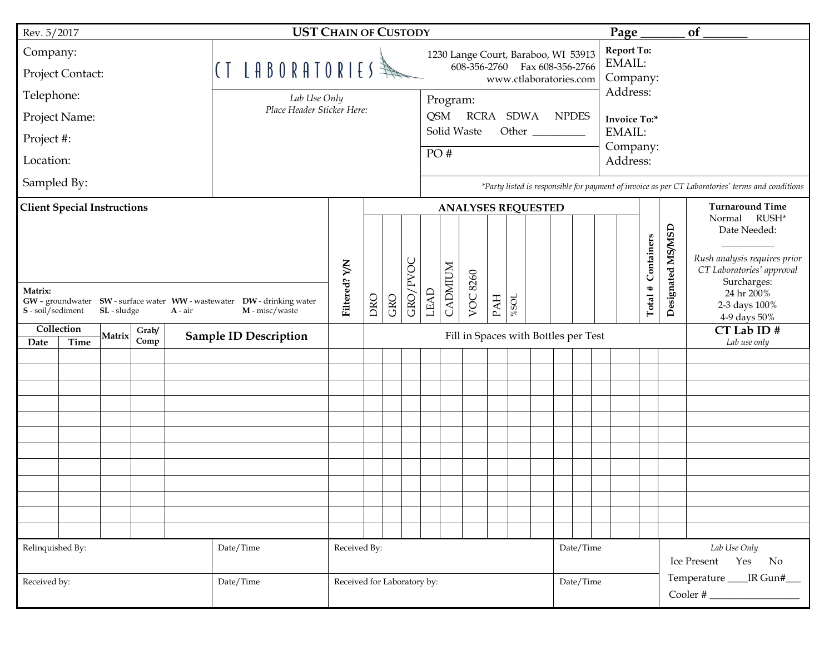| Rev. 5/2017                                                                                                                                            |  |  |  |  |                                                                            | <b>UST CHAIN OF CUSTODY</b>              |                           |     |          |      |                               |          |     |          |                    |                   | Page $\_$                   |                                                                                                  |                             | of         |                                       |                                                                                                                        |  |
|--------------------------------------------------------------------------------------------------------------------------------------------------------|--|--|--|--|----------------------------------------------------------------------------|------------------------------------------|---------------------------|-----|----------|------|-------------------------------|----------|-----|----------|--------------------|-------------------|-----------------------------|--------------------------------------------------------------------------------------------------|-----------------------------|------------|---------------------------------------|------------------------------------------------------------------------------------------------------------------------|--|
| Company:                                                                                                                                               |  |  |  |  |                                                                            | 1230 Lange Court, Baraboo, WI 53913      |                           |     |          |      |                               |          |     |          |                    | <b>Report To:</b> |                             |                                                                                                  |                             |            |                                       |                                                                                                                        |  |
| Project Contact:                                                                                                                                       |  |  |  |  | CT LABORATORIES<br>608-356-2760 Fax 608-356-2766<br>www.ctlaboratories.com |                                          |                           |     |          |      |                               |          |     |          | EMAIL:<br>Company: |                   |                             |                                                                                                  |                             |            |                                       |                                                                                                                        |  |
| Telephone:<br>Lab Use Only                                                                                                                             |  |  |  |  |                                                                            |                                          |                           |     |          |      | Program:                      |          |     |          |                    |                   |                             |                                                                                                  | Address:                    |            |                                       |                                                                                                                        |  |
| Place Header Sticker Here:<br>Project Name:                                                                                                            |  |  |  |  |                                                                            |                                          |                           |     |          |      | <b>QSM</b><br>RCRA SDWA NPDES |          |     |          |                    |                   |                             |                                                                                                  | <b>Invoice To:*</b>         |            |                                       |                                                                                                                        |  |
| Project #:                                                                                                                                             |  |  |  |  |                                                                            |                                          |                           |     |          |      | Solid Waste<br>Other          |          |     |          |                    |                   |                             | EMAIL:<br>Company:                                                                               |                             |            |                                       |                                                                                                                        |  |
| Location:                                                                                                                                              |  |  |  |  |                                                                            | PO#                                      |                           |     |          |      |                               |          |     |          |                    |                   |                             | Address:                                                                                         |                             |            |                                       |                                                                                                                        |  |
| Sampled By:                                                                                                                                            |  |  |  |  |                                                                            |                                          |                           |     |          |      |                               |          |     |          |                    |                   |                             | *Party listed is responsible for payment of invoice as per CT Laboratories' terms and conditions |                             |            |                                       |                                                                                                                        |  |
| <b>Client Special Instructions</b>                                                                                                                     |  |  |  |  |                                                                            |                                          | <b>ANALYSES REQUESTED</b> |     |          |      |                               |          |     |          |                    |                   |                             |                                                                                                  | <b>Turnaround Time</b>      |            |                                       |                                                                                                                        |  |
| Matrix:                                                                                                                                                |  |  |  |  |                                                                            |                                          |                           |     | GRO/PVOC |      | <b>CADMIUM</b>                | VOC 8260 |     |          |                    |                   |                             |                                                                                                  |                             | Containers | Designated MS/MSD                     | Normal RUSH*<br>Date Needed:<br>Rush analysis requires prior<br>CT Laboratories' approval<br>Surcharges:<br>24 hr 200% |  |
| GW - groundwater  SW - surface water  WW - wastewater  DW - drinking water<br>$S - \text{soil/sediment}$<br>SL - sludge<br>M - misc/waste<br>$A - air$ |  |  |  |  |                                                                            | Filtered? Y/N                            | DRO                       | GRO |          | LEAD |                               |          | PAH | $\% SOL$ |                    |                   |                             |                                                                                                  |                             | Total #    |                                       | 2-3 days 100%<br>4-9 days 50%                                                                                          |  |
| Collection<br>Grab/<br>Matrix<br>Comp<br>Date<br>Time                                                                                                  |  |  |  |  | <b>Sample ID Description</b>                                               | Fill in Spaces with Bottles per Test     |                           |     |          |      |                               |          |     |          |                    |                   |                             |                                                                                                  | CT Lab ID #<br>Lab use only |            |                                       |                                                                                                                        |  |
|                                                                                                                                                        |  |  |  |  |                                                                            |                                          |                           |     |          |      |                               |          |     |          |                    |                   |                             |                                                                                                  |                             |            |                                       |                                                                                                                        |  |
|                                                                                                                                                        |  |  |  |  |                                                                            |                                          |                           |     |          |      |                               |          |     |          |                    |                   |                             |                                                                                                  |                             |            |                                       |                                                                                                                        |  |
|                                                                                                                                                        |  |  |  |  |                                                                            |                                          |                           |     |          |      |                               |          |     |          |                    |                   |                             |                                                                                                  |                             |            |                                       |                                                                                                                        |  |
|                                                                                                                                                        |  |  |  |  |                                                                            |                                          |                           |     |          |      |                               |          |     |          |                    |                   |                             |                                                                                                  |                             |            |                                       |                                                                                                                        |  |
|                                                                                                                                                        |  |  |  |  |                                                                            |                                          |                           |     |          |      |                               |          |     |          |                    |                   |                             |                                                                                                  |                             |            |                                       |                                                                                                                        |  |
|                                                                                                                                                        |  |  |  |  |                                                                            |                                          |                           |     |          |      |                               |          |     |          |                    |                   |                             |                                                                                                  |                             |            |                                       |                                                                                                                        |  |
|                                                                                                                                                        |  |  |  |  |                                                                            |                                          |                           |     |          |      |                               |          |     |          |                    |                   |                             |                                                                                                  |                             |            |                                       |                                                                                                                        |  |
|                                                                                                                                                        |  |  |  |  |                                                                            |                                          |                           |     |          |      |                               |          |     |          |                    |                   |                             |                                                                                                  |                             |            |                                       |                                                                                                                        |  |
|                                                                                                                                                        |  |  |  |  |                                                                            |                                          |                           |     |          |      |                               |          |     |          |                    |                   |                             |                                                                                                  |                             |            |                                       |                                                                                                                        |  |
|                                                                                                                                                        |  |  |  |  |                                                                            |                                          |                           |     |          |      |                               |          |     |          |                    |                   |                             |                                                                                                  |                             |            |                                       |                                                                                                                        |  |
| Relinquished By:<br>Date/Time                                                                                                                          |  |  |  |  |                                                                            | Received By:<br>Date/Time                |                           |     |          |      |                               |          |     |          |                    |                   |                             |                                                                                                  |                             |            | Lab Use Only<br>Yes No<br>Ice Present |                                                                                                                        |  |
| Received by:<br>Date/Time                                                                                                                              |  |  |  |  |                                                                            | Date/Time<br>Received for Laboratory by: |                           |     |          |      |                               |          |     |          |                    |                   | Temperature ____ IR Gun#___ |                                                                                                  |                             |            |                                       |                                                                                                                        |  |